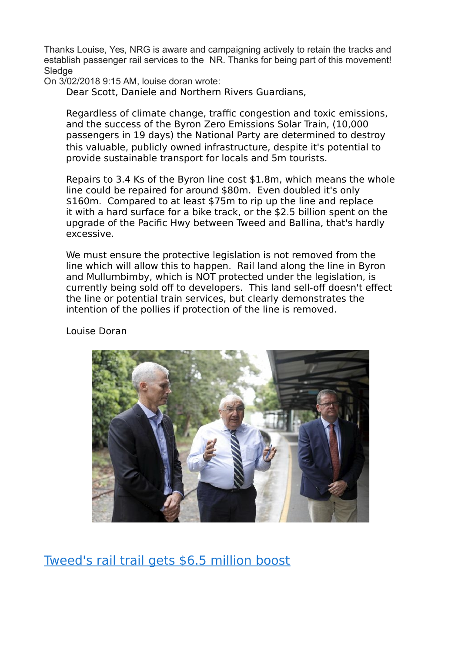Thanks Louise, Yes, NRG is aware and campaigning actively to retain the tracks and establish passenger rail services to the NR. Thanks for being part of this movement! Sledge

On 3/02/2018 9:15 AM, louise doran wrote:

Dear Scott, Daniele and Northern Rivers Guardians,

Regardless of climate change, traffic congestion and toxic emissions, and the success of the Byron Zero Emissions Solar Train, (10,000 passengers in 19 days) the National Party are determined to destroy this valuable, publicly owned infrastructure, despite it's potential to provide sustainable transport for locals and 5m tourists.

Repairs to 3.4 Ks of the Byron line cost \$1.8m, which means the whole line could be repaired for around \$80m. Even doubled it's only \$160m. Compared to at least \$75m to rip up the line and replace it with a hard surface for a bike track, or the \$2.5 billion spent on the upgrade of the Pacific Hwy between Tweed and Ballina, that's hardly excessive.

We must ensure the protective legislation is not removed from the line which will allow this to happen. Rail land along the line in Byron and Mullumbimby, which is NOT protected under the legislation, is currently being sold off to developers. This land sell-off doesn't effect the line or potential train services, but clearly demonstrates the intention of the pollies if protection of the line is removed.

Louise Doran



[Tweed's rail trail gets \\$6.5 million boost](https://www.tweeddailynews.com.au/news/tweeds-rail-trail-gets-65-million-boost/3325497/)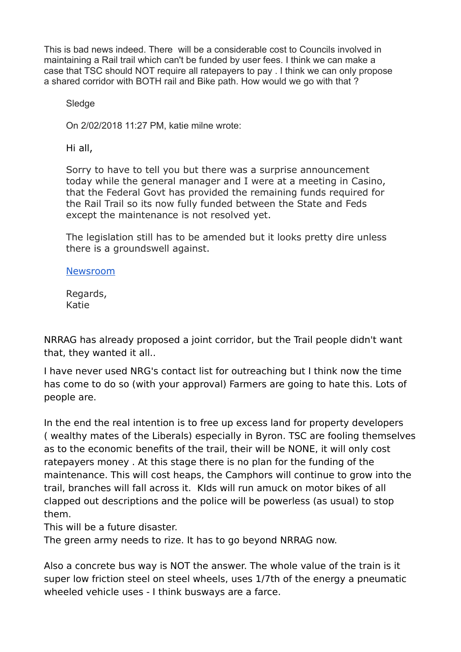This is bad news indeed. There will be a considerable cost to Councils involved in maintaining a Rail trail which can't be funded by user fees. I think we can make a case that TSC should NOT require all ratepayers to pay . I think we can only propose a shared corridor with BOTH rail and Bike path. How would we go with that ?

Sledge

On 2/02/2018 11:27 PM, katie milne wrote:

Hi all,

Sorry to have to tell you but there was a surprise announcement today while the general manager and I were at a meeting in Casino, that the Federal Govt has provided the remaining funds required for the Rail Trail so its now fully funded between the State and Feds except the maintenance is not resolved yet.

The legislation still has to be amended but it looks pretty dire unless there is a groundswell against.

## [Newsroom](http://www.tweed.nsw.gov.au/Newsroom/2279)

Regards, Katie

NRRAG has already proposed a joint corridor, but the Trail people didn't want that, they wanted it all..

I have never used NRG's contact list for outreaching but I think now the time has come to do so (with your approval) Farmers are going to hate this. Lots of people are.

In the end the real intention is to free up excess land for property developers ( wealthy mates of the Liberals) especially in Byron. TSC are fooling themselves as to the economic benefits of the trail, their will be NONE, it will only cost ratepayers money . At this stage there is no plan for the funding of the maintenance. This will cost heaps, the Camphors will continue to grow into the trail, branches will fall across it. KIds will run amuck on motor bikes of all clapped out descriptions and the police will be powerless (as usual) to stop them.

This will be a future disaster.

The green army needs to rize. It has to go beyond NRRAG now.

Also a concrete bus way is NOT the answer. The whole value of the train is it super low friction steel on steel wheels, uses 1/7th of the energy a pneumatic wheeled vehicle uses - I think busways are a farce.